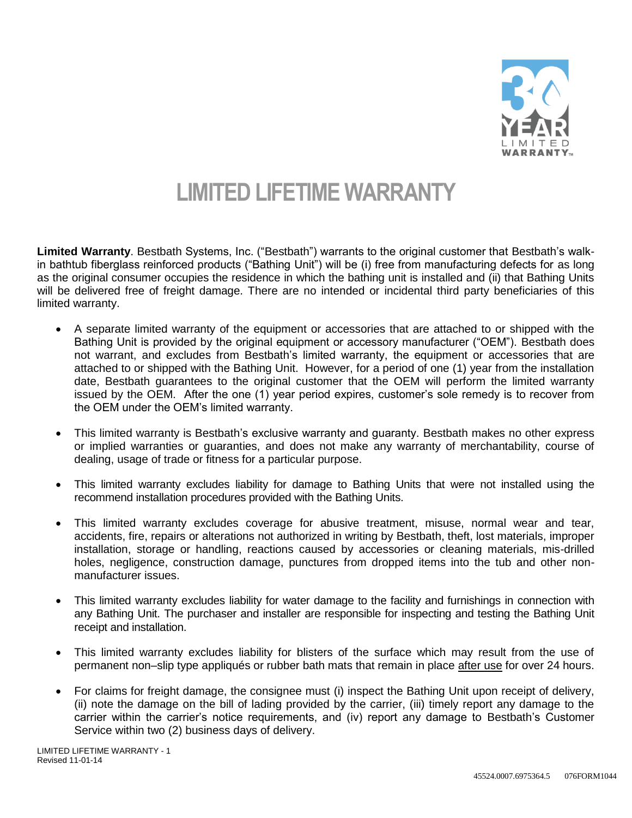

## **LIMITED LIFETIME WARRANTY**

**Limited Warranty**. Bestbath Systems, Inc. ("Bestbath") warrants to the original customer that Bestbath's walkin bathtub fiberglass reinforced products ("Bathing Unit") will be (i) free from manufacturing defects for as long as the original consumer occupies the residence in which the bathing unit is installed and (ii) that Bathing Units will be delivered free of freight damage. There are no intended or incidental third party beneficiaries of this limited warranty.

- A separate limited warranty of the equipment or accessories that are attached to or shipped with the Bathing Unit is provided by the original equipment or accessory manufacturer ("OEM"). Bestbath does not warrant, and excludes from Bestbath's limited warranty, the equipment or accessories that are attached to or shipped with the Bathing Unit. However, for a period of one (1) year from the installation date, Bestbath guarantees to the original customer that the OEM will perform the limited warranty issued by the OEM. After the one (1) year period expires, customer's sole remedy is to recover from the OEM under the OEM's limited warranty.
- This limited warranty is Bestbath's exclusive warranty and guaranty. Bestbath makes no other express or implied warranties or guaranties, and does not make any warranty of merchantability, course of dealing, usage of trade or fitness for a particular purpose.
- This limited warranty excludes liability for damage to Bathing Units that were not installed using the recommend installation procedures provided with the Bathing Units.
- This limited warranty excludes coverage for abusive treatment, misuse, normal wear and tear, accidents, fire, repairs or alterations not authorized in writing by Bestbath, theft, lost materials, improper installation, storage or handling, reactions caused by accessories or cleaning materials, mis-drilled holes, negligence, construction damage, punctures from dropped items into the tub and other nonmanufacturer issues.
- This limited warranty excludes liability for water damage to the facility and furnishings in connection with any Bathing Unit. The purchaser and installer are responsible for inspecting and testing the Bathing Unit receipt and installation.
- This limited warranty excludes liability for blisters of the surface which may result from the use of permanent non–slip type appliqués or rubber bath mats that remain in place after use for over 24 hours.
- For claims for freight damage, the consignee must (i) inspect the Bathing Unit upon receipt of delivery, (ii) note the damage on the bill of lading provided by the carrier, (iii) timely report any damage to the carrier within the carrier's notice requirements, and (iv) report any damage to Bestbath's Customer Service within two (2) business days of delivery.